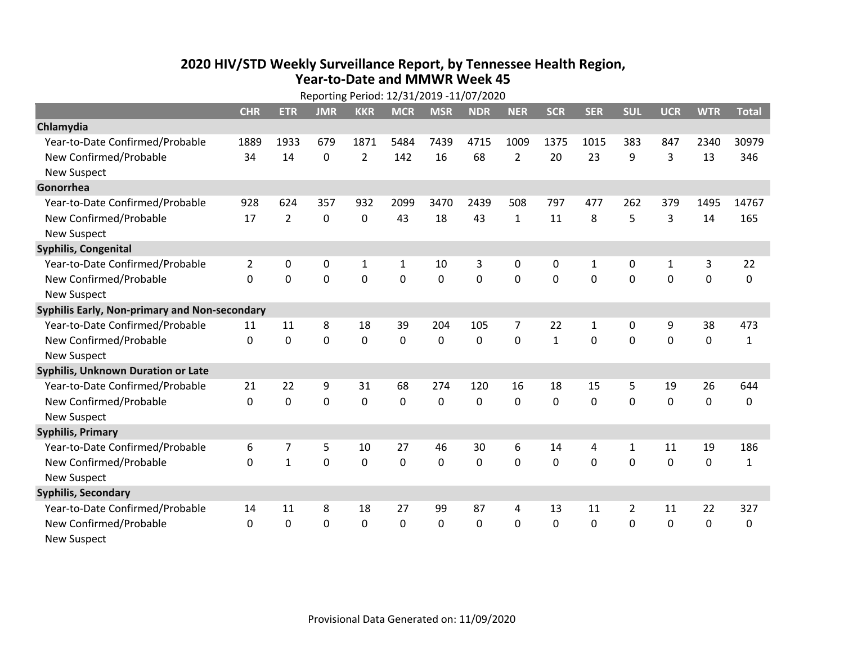## **2020 HIV /STD Weekly Surveillance Report, by Tennessee Health Region, Year‐to‐Date and MMWR Week 45** Reporting Period: 12/31/2019 ‐11/07/2020

| Reporting Period: 12/31/2019 -11/07/2020      |                |                |             |                |              |            |            |                |              |            |            |              |             |              |
|-----------------------------------------------|----------------|----------------|-------------|----------------|--------------|------------|------------|----------------|--------------|------------|------------|--------------|-------------|--------------|
|                                               | <b>CHR</b>     | <b>ETR</b>     | <b>JMR</b>  | <b>KKR</b>     | <b>MCR</b>   | <b>MSR</b> | <b>NDR</b> | <b>NER</b>     | <b>SCR</b>   | <b>SER</b> | <b>SUL</b> | <b>UCR</b>   | <b>WTR</b>  | <b>Total</b> |
| Chlamydia                                     |                |                |             |                |              |            |            |                |              |            |            |              |             |              |
| Year-to-Date Confirmed/Probable               | 1889           | 1933           | 679         | 1871           | 5484         | 7439       | 4715       | 1009           | 1375         | 1015       | 383        | 847          | 2340        | 30979        |
| New Confirmed/Probable                        | 34             | 14             | 0           | $\overline{2}$ | 142          | 16         | 68         | $\overline{2}$ | 20           | 23         | 9          | 3            | 13          | 346          |
| <b>New Suspect</b>                            |                |                |             |                |              |            |            |                |              |            |            |              |             |              |
| Gonorrhea                                     |                |                |             |                |              |            |            |                |              |            |            |              |             |              |
| Year-to-Date Confirmed/Probable               | 928            | 624            | 357         | 932            | 2099         | 3470       | 2439       | 508            | 797          | 477        | 262        | 379          | 1495        | 14767        |
| New Confirmed/Probable                        | 17             | $\overline{2}$ | $\mathbf 0$ | 0              | 43           | 18         | 43         | $\mathbf{1}$   | 11           | 8          | 5          | 3            | 14          | 165          |
| <b>New Suspect</b>                            |                |                |             |                |              |            |            |                |              |            |            |              |             |              |
| <b>Syphilis, Congenital</b>                   |                |                |             |                |              |            |            |                |              |            |            |              |             |              |
| Year-to-Date Confirmed/Probable               | $\overline{2}$ | 0              | $\mathbf 0$ | $\mathbf{1}$   | $\mathbf{1}$ | 10         | 3          | 0              | 0            | 1          | 0          | $\mathbf{1}$ | 3           | 22           |
| New Confirmed/Probable                        | $\mathbf{0}$   | $\mathbf 0$    | 0           | 0              | $\mathbf 0$  | 0          | 0          | $\mathbf 0$    | $\mathbf{0}$ | 0          | 0          | 0            | $\mathbf 0$ | $\Omega$     |
| <b>New Suspect</b>                            |                |                |             |                |              |            |            |                |              |            |            |              |             |              |
| Syphilis Early, Non-primary and Non-secondary |                |                |             |                |              |            |            |                |              |            |            |              |             |              |
| Year-to-Date Confirmed/Probable               | 11             | 11             | 8           | 18             | 39           | 204        | 105        | 7              | 22           | 1          | 0          | 9            | 38          | 473          |
| New Confirmed/Probable                        | $\Omega$       | $\Omega$       | $\Omega$    | 0              | $\mathbf 0$  | $\Omega$   | 0          | $\Omega$       | $\mathbf{1}$ | $\Omega$   | $\Omega$   | $\Omega$     | $\mathbf 0$ | $\mathbf{1}$ |
| <b>New Suspect</b>                            |                |                |             |                |              |            |            |                |              |            |            |              |             |              |
| Syphilis, Unknown Duration or Late            |                |                |             |                |              |            |            |                |              |            |            |              |             |              |
| Year-to-Date Confirmed/Probable               | 21             | 22             | 9           | 31             | 68           | 274        | 120        | 16             | 18           | 15         | 5          | 19           | 26          | 644          |
| New Confirmed/Probable                        | $\Omega$       | 0              | $\mathbf 0$ | 0              | $\mathbf 0$  | 0          | $\Omega$   | $\Omega$       | $\Omega$     | $\Omega$   | $\Omega$   | 0            | $\mathbf 0$ | 0            |
| <b>New Suspect</b>                            |                |                |             |                |              |            |            |                |              |            |            |              |             |              |
| <b>Syphilis, Primary</b>                      |                |                |             |                |              |            |            |                |              |            |            |              |             |              |
| Year-to-Date Confirmed/Probable               | 6              | 7              | 5           | 10             | 27           | 46         | 30         | 6              | 14           | 4          | 1          | 11           | 19          | 186          |
| New Confirmed/Probable                        | $\Omega$       | $\mathbf{1}$   | 0           | 0              | $\mathbf{0}$ | 0          | $\Omega$   | $\Omega$       | $\Omega$     | $\Omega$   | $\Omega$   | 0            | $\mathbf 0$ | $\mathbf{1}$ |
| <b>New Suspect</b>                            |                |                |             |                |              |            |            |                |              |            |            |              |             |              |
| <b>Syphilis, Secondary</b>                    |                |                |             |                |              |            |            |                |              |            |            |              |             |              |
| Year-to-Date Confirmed/Probable               | 14             | 11             | 8           | 18             | 27           | 99         | 87         | 4              | 13           | 11         | 2          | 11           | 22          | 327          |
| New Confirmed/Probable                        | $\mathbf{0}$   | 0              | 0           | 0              | $\mathbf 0$  | 0          | 0          | $\mathbf{0}$   | $\mathbf{0}$ | 0          | 0          | 0            | $\mathbf 0$ | 0            |
| <b>New Suspect</b>                            |                |                |             |                |              |            |            |                |              |            |            |              |             |              |